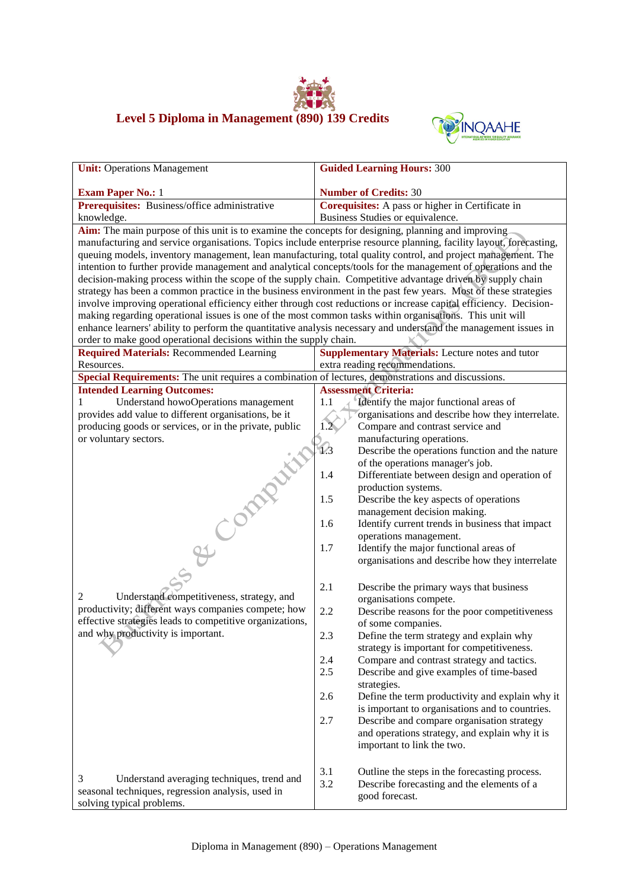



| <b>Unit:</b> Operations Management                                                                              | <b>Guided Learning Hours: 300</b>                                                                                   |  |  |
|-----------------------------------------------------------------------------------------------------------------|---------------------------------------------------------------------------------------------------------------------|--|--|
| <b>Exam Paper No.: 1</b>                                                                                        | <b>Number of Credits: 30</b>                                                                                        |  |  |
| Prerequisites: Business/office administrative                                                                   | Corequisites: A pass or higher in Certificate in                                                                    |  |  |
| knowledge.                                                                                                      | Business Studies or equivalence.                                                                                    |  |  |
| Aim: The main purpose of this unit is to examine the concepts for designing, planning and improving             |                                                                                                                     |  |  |
|                                                                                                                 | manufacturing and service organisations. Topics include enterprise resource planning, facility layout, forecasting, |  |  |
|                                                                                                                 | queuing models, inventory management, lean manufacturing, total quality control, and project management. The        |  |  |
|                                                                                                                 | intention to further provide management and analytical concepts/tools for the management of operations and the      |  |  |
| decision-making process within the scope of the supply chain. Competitive advantage driven by supply chain      |                                                                                                                     |  |  |
| strategy has been a common practice in the business environment in the past few years. Most of these strategies |                                                                                                                     |  |  |
|                                                                                                                 | involve improving operational efficiency either through cost reductions or increase capital efficiency. Decision-   |  |  |
| making regarding operational issues is one of the most common tasks within organisations. This unit will        |                                                                                                                     |  |  |
|                                                                                                                 | enhance learners' ability to perform the quantitative analysis necessary and understand the management issues in    |  |  |
| order to make good operational decisions within the supply chain.                                               |                                                                                                                     |  |  |
| <b>Required Materials: Recommended Learning</b>                                                                 | <b>Supplementary Materials:</b> Lecture notes and tutor                                                             |  |  |
| Resources.                                                                                                      | extra reading recommendations.                                                                                      |  |  |
| Special Requirements: The unit requires a combination of lectures, demonstrations and discussions.              | <b>Assessment Criteria:</b>                                                                                         |  |  |
| <b>Intended Learning Outcomes:</b><br>Understand howoOperations management<br>1                                 | 1.1<br>Identify the major functional areas of                                                                       |  |  |
| provides add value to different organisations, be it                                                            | organisations and describe how they interrelate.                                                                    |  |  |
| producing goods or services, or in the private, public                                                          | 1.2 <sub>5</sub><br>Compare and contrast service and                                                                |  |  |
| or voluntary sectors.                                                                                           | manufacturing operations.                                                                                           |  |  |
|                                                                                                                 | $\sqrt{3}$<br>Describe the operations function and the nature                                                       |  |  |
|                                                                                                                 | of the operations manager's job.                                                                                    |  |  |
|                                                                                                                 | 1.4<br>Differentiate between design and operation of                                                                |  |  |
|                                                                                                                 | production systems.                                                                                                 |  |  |
|                                                                                                                 | 1.5<br>Describe the key aspects of operations                                                                       |  |  |
|                                                                                                                 | management decision making.                                                                                         |  |  |
|                                                                                                                 | 1.6<br>Identify current trends in business that impact                                                              |  |  |
|                                                                                                                 | operations management.                                                                                              |  |  |
|                                                                                                                 | 1.7<br>Identify the major functional areas of                                                                       |  |  |
| SE COMPANY                                                                                                      | organisations and describe how they interrelate                                                                     |  |  |
|                                                                                                                 |                                                                                                                     |  |  |
|                                                                                                                 | 2.1<br>Describe the primary ways that business                                                                      |  |  |
| Understand competitiveness, strategy, and<br>2                                                                  | organisations compete.                                                                                              |  |  |
| productivity; different ways companies compete; how<br>effective strategies leads to competitive organizations, | 2.2<br>Describe reasons for the poor competitiveness                                                                |  |  |
| and why productivity is important.                                                                              | of some companies.                                                                                                  |  |  |
|                                                                                                                 | 2.3<br>Define the term strategy and explain why                                                                     |  |  |
|                                                                                                                 | strategy is important for competitiveness.                                                                          |  |  |
|                                                                                                                 | 2.4<br>Compare and contrast strategy and tactics.<br>2.5<br>Describe and give examples of time-based                |  |  |
|                                                                                                                 |                                                                                                                     |  |  |
|                                                                                                                 | strategies.<br>2.6<br>Define the term productivity and explain why it                                               |  |  |
|                                                                                                                 | is important to organisations and to countries.                                                                     |  |  |
|                                                                                                                 | 2.7<br>Describe and compare organisation strategy                                                                   |  |  |
|                                                                                                                 | and operations strategy, and explain why it is                                                                      |  |  |
|                                                                                                                 | important to link the two.                                                                                          |  |  |
|                                                                                                                 |                                                                                                                     |  |  |
|                                                                                                                 | 3.1<br>Outline the steps in the forecasting process.                                                                |  |  |
| 3<br>Understand averaging techniques, trend and                                                                 | 3.2<br>Describe forecasting and the elements of a                                                                   |  |  |
| seasonal techniques, regression analysis, used in                                                               | good forecast.                                                                                                      |  |  |
| solving typical problems.                                                                                       |                                                                                                                     |  |  |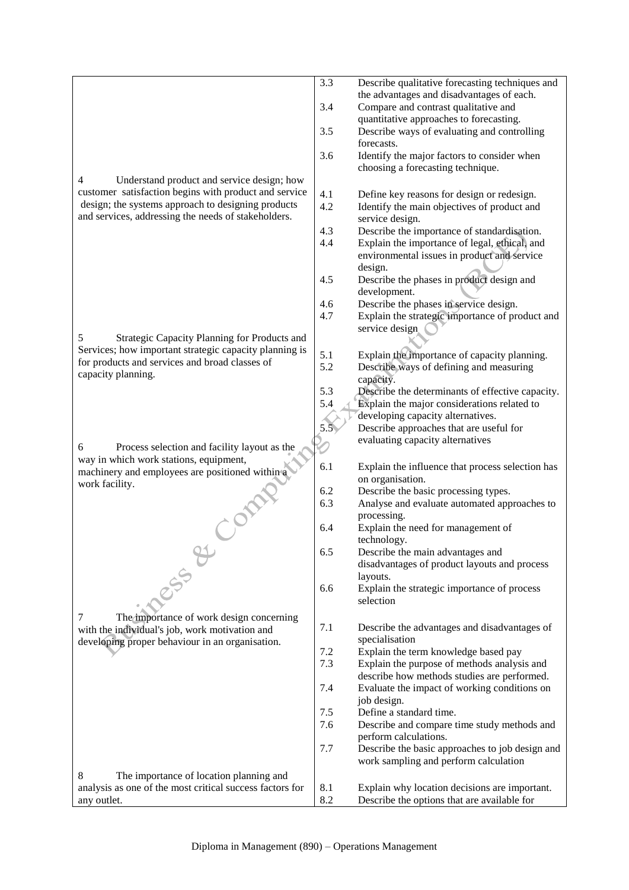4 Understand product and service design; how customer satisfaction begins with product and service design; the systems approach to designing products and services, addressing the needs of stakeholders. 5 Strategic Capacity Planning for Products and Services; how important strategic capacity planning is for products and services and broad classes of capacity planning. 6 Process selection and facility layout as the way in which work stations, equipment, machinery and employees are positioned within a<br>work facility. work facility. 7 The importance of work design concerning with the individual's job, work motivation and developing proper behaviour in an organisation. 8 The importance of location planning and analysis as one of the most critical success factors for any outlet. 3.3 Describe qualitative forecasting techniques and the advantages and disadvantages of each. 3.4 Compare and contrast qualitative and quantitative approaches to forecasting. 3.5 Describe ways of evaluating and controlling forecasts. 3.6 Identify the major factors to consider when choosing a forecasting technique. 4.1 Define key reasons for design or redesign. 4.2 Identify the main objectives of product and service design. 4.3 Describe the importance of standardisation. 4.4 Explain the importance of legal, ethical, and environmental issues in product and service design. 4.5 Describe the phases in product design and development. 4.6 Describe the phases in service design. 4.7 Explain the strategic importance of product and service design 5.1 Explain the importance of capacity planning. 5.2 Describe ways of defining and measuring capacity. 5.3 Describe the determinants of effective capacity. 5.4 **Explain the major considerations related to** developing capacity alternatives. 5.5 Describe approaches that are useful for evaluating capacity alternatives 6.1 Explain the influence that process selection has on organisation. 6.2 Describe the basic processing types. 6.3 Analyse and evaluate automated approaches to processing. 6.4 Explain the need for management of technology. 6.5 Describe the main advantages and disadvantages of product layouts and process layouts. 6.6 Explain the strategic importance of process selection 7.1 Describe the advantages and disadvantages of specialisation 7.2 Explain the term knowledge based pay 7.3 Explain the purpose of methods analysis and describe how methods studies are performed. 7.4 Evaluate the impact of working conditions on job design. 7.5 Define a standard time. 7.6 Describe and compare time study methods and perform calculations. 7.7 Describe the basic approaches to job design and work sampling and perform calculation 8.1 Explain why location decisions are important. 8.2 Describe the options that are available for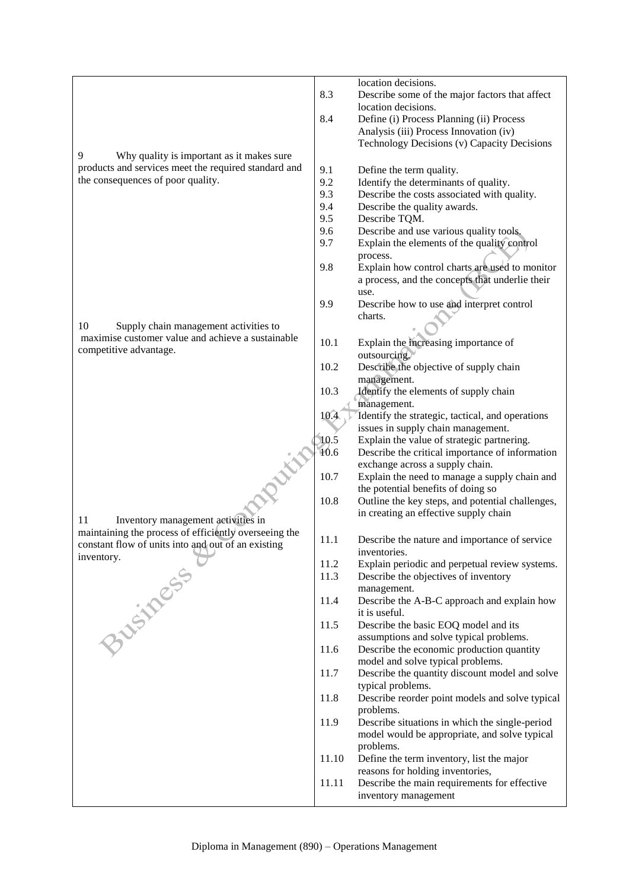9 Why quality is important as it makes sure products and services meet the required standard and the consequences of poor quality. 10 Supply chain management activities to maximise customer value and achieve a sustainable competitive advantage. 11 Inventory management activities in maintaining the process of efficiently overseeing the constant flow of units into and out of an existing inventory. location decisions. 8.3 Describe some of the major factors that affect location decisions. 8.4 Define (i) Process Planning (ii) Process Analysis (iii) Process Innovation (iv) Technology Decisions (v) Capacity Decisions 9.1 Define the term quality. 9.2 Identify the determinants of quality.<br>9.3 Describe the costs associated with qu Describe the costs associated with quality. 9.4 Describe the quality awards. 9.5 Describe TQM. 9.6 Describe and use various quality tools. 9.7 Explain the elements of the quality control process. 9.8 Explain how control charts are used to monitor a process, and the concepts that underlie their use. 9.9 Describe how to use and interpret control charts. 10.1 Explain the increasing importance of outsourcing. 10.2 Describe the objective of supply chain management. 10.3 Identify the elements of supply chain management. 10.4 I Identify the strategic, tactical, and operations issues in supply chain management. 10.5 Explain the value of strategic partnering. 10.6 Describe the critical importance of information exchange across a supply chain. 10.7 Explain the need to manage a supply chain and the potential benefits of doing so 10.8 Outline the key steps, and potential challenges, in creating an effective supply chain 11.1 Describe the nature and importance of service inventories. 11.2 Explain periodic and perpetual review systems. 11.3 Describe the objectives of inventory management. 11.4 Describe the A-B-C approach and explain how it is useful. 11.5 Describe the basic EOQ model and its assumptions and solve typical problems. 11.6 Describe the economic production quantity model and solve typical problems. 11.7 Describe the quantity discount model and solve typical problems. 11.8 Describe reorder point models and solve typical problems. 11.9 Describe situations in which the single-period model would be appropriate, and solve typical problems. 11.10 Define the term inventory, list the major reasons for holding inventories, 11.11 Describe the main requirements for effective inventory management